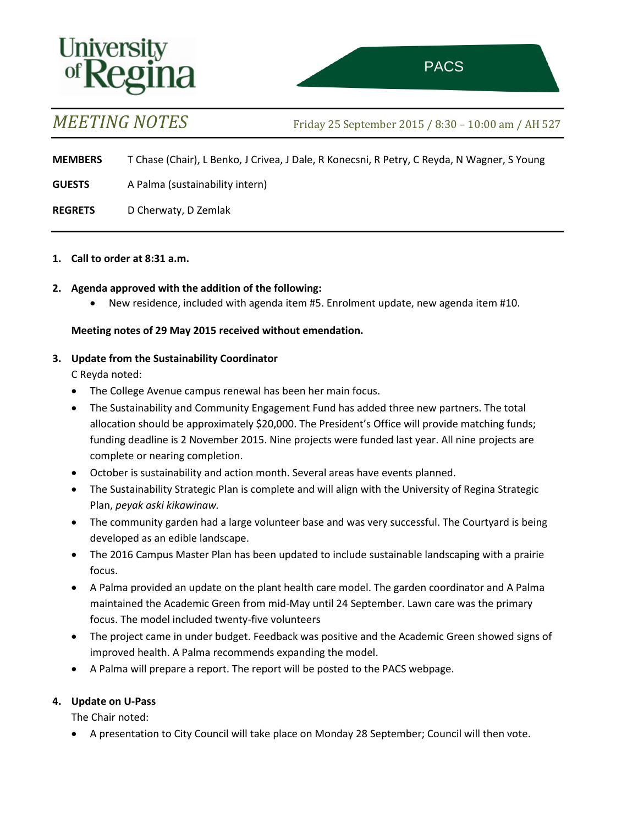# Universi

*MEETING NOTES* Friday <sup>25</sup> September <sup>2015</sup> / 8:30 – 10:00 am / AH 527

l,

**MEMBERS** T Chase (Chair), L Benko, J Crivea, J Dale, R Konecsni, R Petry, C Reyda, N Wagner, S Young

**GUESTS** A Palma (sustainability intern)

**REGRETS** D Cherwaty, D Zemlak

**1. Call to order at 8:31 a.m.**

# **2. Agenda approved with the addition of the following:**

• New residence, included with agenda item #5. Enrolment update, new agenda item #10.

### **Meeting notes of 29 May 2015 received without emendation.**

### **3. Update from the Sustainability Coordinator**

C Reyda noted:

- The College Avenue campus renewal has been her main focus.
- The Sustainability and Community Engagement Fund has added three new partners. The total allocation should be approximately \$20,000. The President's Office will provide matching funds; funding deadline is 2 November 2015. Nine projects were funded last year. All nine projects are complete or nearing completion.
- October is sustainability and action month. Several areas have events planned.
- The Sustainability Strategic Plan is complete and will align with the University of Regina Strategic Plan, *peyak aski kikawinaw.*
- The community garden had a large volunteer base and was very successful. The Courtyard is being developed as an edible landscape.
- The 2016 Campus Master Plan has been updated to include sustainable landscaping with a prairie focus.
- A Palma provided an update on the plant health care model. The garden coordinator and A Palma maintained the Academic Green from mid-May until 24 September. Lawn care was the primary focus. The model included twenty-five volunteers
- The project came in under budget. Feedback was positive and the Academic Green showed signs of improved health. A Palma recommends expanding the model.
- A Palma will prepare a report. The report will be posted to the PACS webpage.

# **4. Update on U-Pass**

The Chair noted:

• A presentation to City Council will take place on Monday 28 September; Council will then vote.